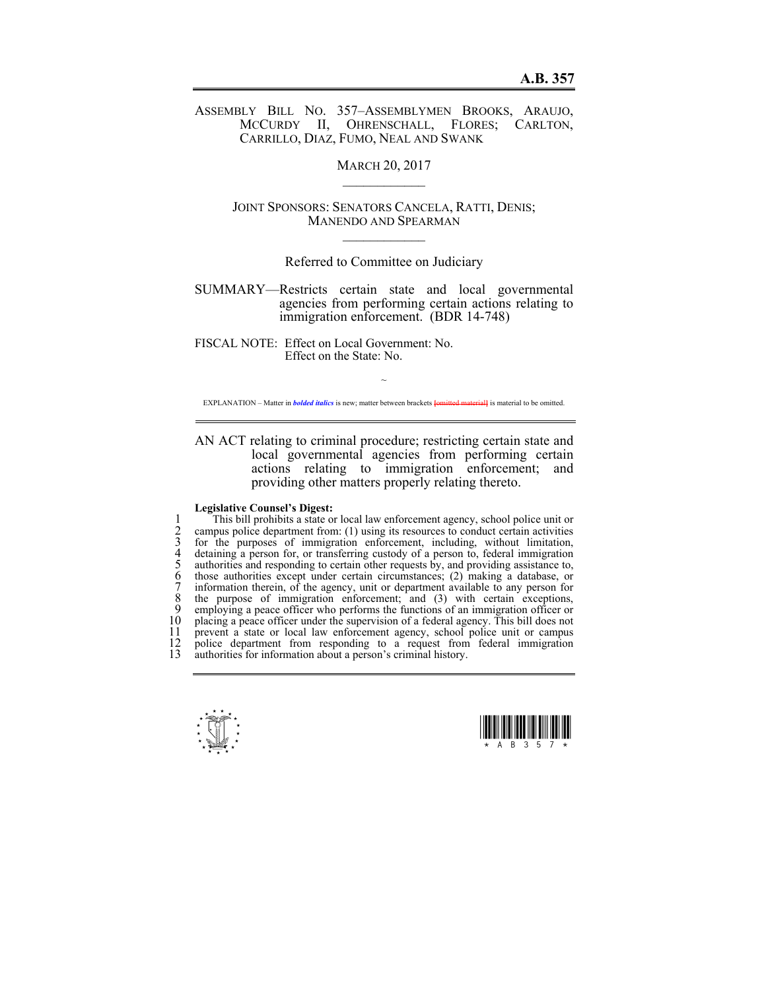ASSEMBLY BILL NO. 357–ASSEMBLYMEN BROOKS, ARAUJO, MCCURDY II, OHRENSCHALL, FLORES; CARLTON, CARRILLO, DIAZ, FUMO, NEAL AND SWANK

**MARCH 20, 2017** 

JOINT SPONSORS: SENATORS CANCELA, RATTI, DENIS; MANENDO AND SPEARMAN  $\mathcal{L}_\text{max}$ 

## Referred to Committee on Judiciary

SUMMARY—Restricts certain state and local governmental agencies from performing certain actions relating to immigration enforcement. (BDR 14-748)

FISCAL NOTE: Effect on Local Government: No. Effect on the State: No.

 $\sim$ EXPLANATION – Matter in *bolded italics* is new; matter between brackets **[**omitted material**]** is material to be omitted.

AN ACT relating to criminal procedure; restricting certain state and local governmental agencies from performing certain actions relating to immigration enforcement; and providing other matters properly relating thereto.

## **Legislative Counsel's Digest:**

1 This bill prohibits a state or local law enforcement agency, school police unit or<br>
2 campus police department from: (1) using its resources to conduct certain activities<br>
3 for the purposes of immigration enforcement, 2 campus police department from: (1) using its resources to conduct certain activities for the purposes of immigration enforcement, including, without limitation, 4 detaining a person for, or transferring custody of a person to, federal immigration authorities and responding to certain other requests by, and providing assistance to, 6 those authorities except under certain circumstances; (2) making a database, or 7 information therein, of the agency, unit or department available to any person for 8 the purpose of immigration enforcement; and (3) with certain exceptions, 9 employing a peace officer who performs the functions of an immigration officer or 10 placing a peace officer under the supervision of a federal agency. This bill does not 11 prevent a state or local law enforcement agency, school police unit or campus 11 prevent a state or local law enforcement agency, school police unit or campus 12 police department from responding to a request from federal immigration 12 police department from responding to a request from federal immigration<br>13 authorities for information about a person's criminal history authorities for information about a person's criminal history.



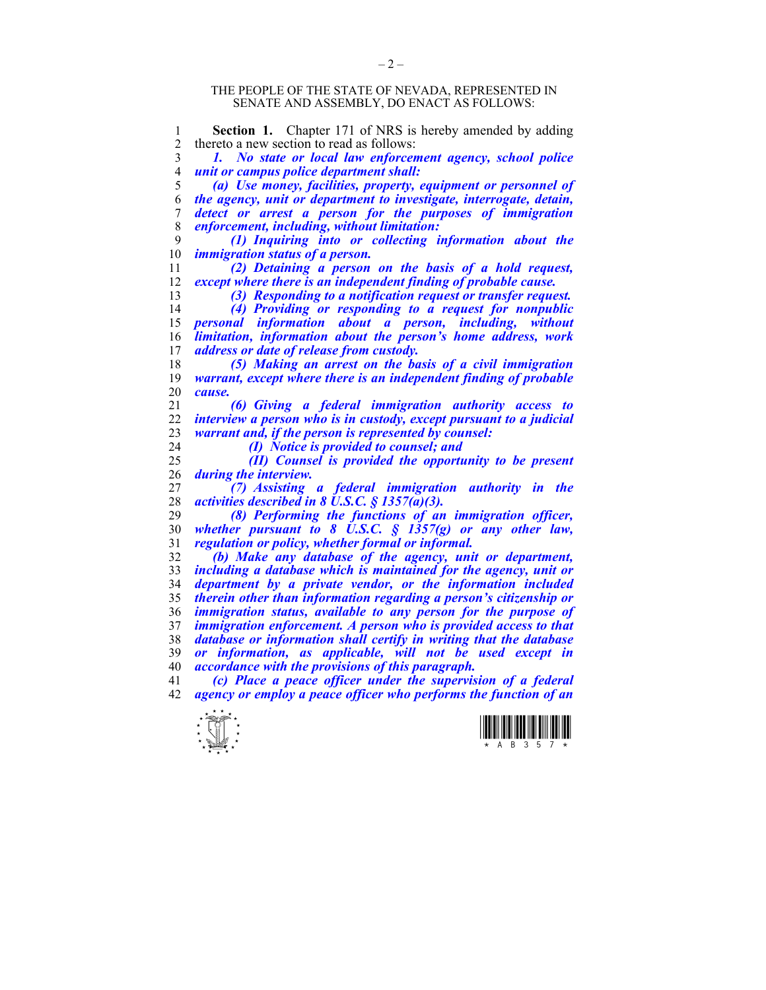## THE PEOPLE OF THE STATE OF NEVADA, REPRESENTED IN SENATE AND ASSEMBLY, DO ENACT AS FOLLOWS:

**Section 1.** Chapter 171 of NRS is hereby amended by adding<br>2 thereto a new section to read as follows: 2 thereto a new section to read as follows: *1. No state or local law enforcement agency, school police unit or campus police department shall: (a) Use money, facilities, property, equipment or personnel of the agency, unit or department to investigate, interrogate, detain, detect or arrest a person for the purposes of immigration enforcement, including, without limitation: (1) Inquiring into or collecting information about the immigration status of a person. (2) Detaining a person on the basis of a hold request, except where there is an independent finding of probable cause. (3) Responding to a notification request or transfer request. (4) Providing or responding to a request for nonpublic personal information about a person, including, without limitation, information about the person's home address, work address or date of release from custody. (5) Making an arrest on the basis of a civil immigration warrant, except where there is an independent finding of probable cause. (6) Giving a federal immigration authority access to interview a person who is in custody, except pursuant to a judicial warrant and, if the person is represented by counsel: (I) Notice is provided to counsel; and (II) Counsel is provided the opportunity to be present during the interview. (7) Assisting a federal immigration authority in the activities described in 8 U.S.C. § 1357(a)(3). (8) Performing the functions of an immigration officer, whether pursuant to 8 U.S.C. § 1357(g) or any other law, regulation or policy, whether formal or informal. (b) Make any database of the agency, unit or department,*  including a database which is maintained for the agency, unit or *department by a private vendor, or the information included therein other than information regarding a person's citizenship or immigration status, available to any person for the purpose of immigration enforcement. A person who is provided access to that database or information shall certify in writing that the database or information, as applicable, will not be used except in accordance with the provisions of this paragraph. (c) Place a peace officer under the supervision of a federal agency or employ a peace officer who performs the function of an* 



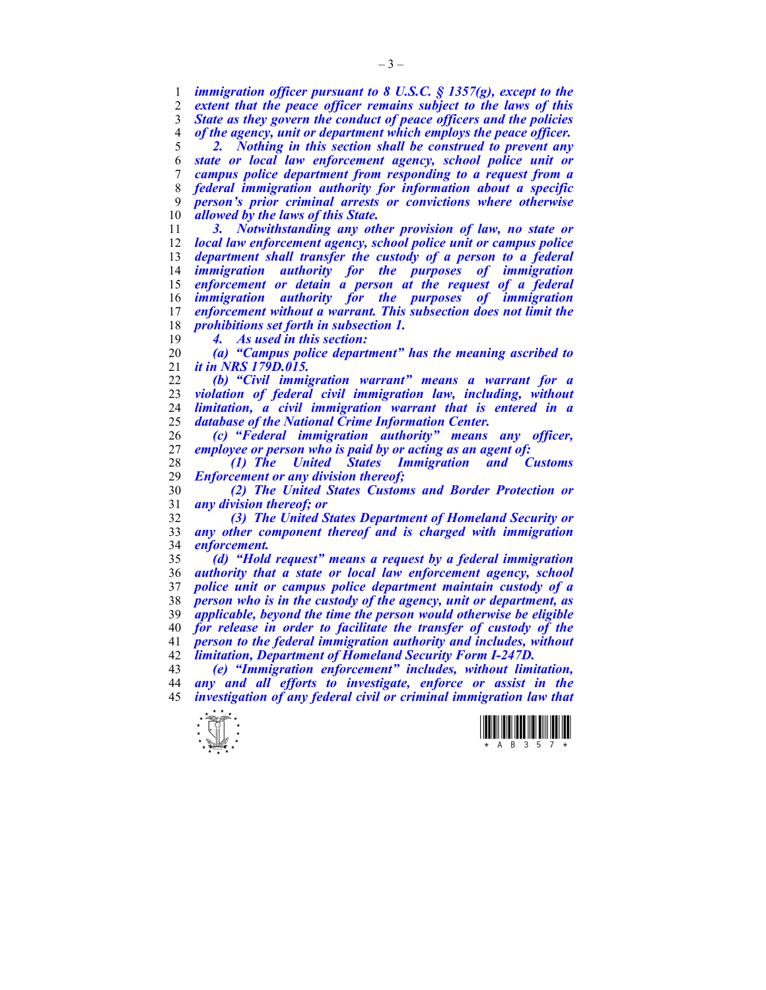*immigration officer pursuant to 8 U.S.C. § 1357(g), except to the extent that the peace officer remains subject to the laws of this State as they govern the conduct of peace officers and the policies of the agency, unit or department which employs the peace officer. 2. Nothing in this section shall be construed to prevent any* 

*state or local law enforcement agency, school police unit or campus police department from responding to a request from a federal immigration authority for information about a specific person's prior criminal arrests or convictions where otherwise allowed by the laws of this State.* 

*3. Notwithstanding any other provision of law, no state or local law enforcement agency, school police unit or campus police department shall transfer the custody of a person to a federal immigration authority for the purposes of immigration enforcement or detain a person at the request of a federal immigration authority for the purposes of immigration enforcement without a warrant. This subsection does not limit the prohibitions set forth in subsection 1.* 

*4. As used in this section:* 

*(a) "Campus police department" has the meaning ascribed to it in NRS 179D.015.* 

*(b) "Civil immigration warrant" means a warrant for a violation of federal civil immigration law, including, without limitation, a civil immigration warrant that is entered in a database of the National Crime Information Center.* 

*(c) "Federal immigration authority" means any officer, employee or person who is paid by or acting as an agent of:* 

*(1) The United States Immigration and Customs Enforcement or any division thereof;* 

*(2) The United States Customs and Border Protection or any division thereof; or* 

*(3) The United States Department of Homeland Security or any other component thereof and is charged with immigration enforcement.* 

*(d) "Hold request" means a request by a federal immigration authority that a state or local law enforcement agency, school police unit or campus police department maintain custody of a person who is in the custody of the agency, unit or department, as applicable, beyond the time the person would otherwise be eligible for release in order to facilitate the transfer of custody of the person to the federal immigration authority and includes, without limitation, Department of Homeland Security Form I-247D.* 

*(e) "Immigration enforcement" includes, without limitation, any and all efforts to investigate, enforce or assist in the investigation of any federal civil or criminal immigration law that*